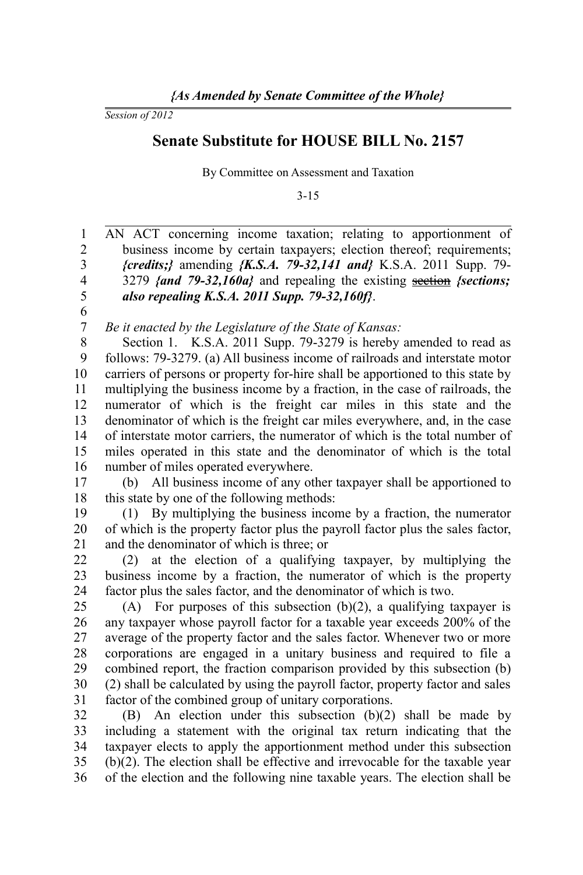*Session of 2012*

## **Senate Substitute for HOUSE BILL No. 2157**

By Committee on Assessment and Taxation

3-15

AN ACT concerning income taxation; relating to apportionment of business income by certain taxpayers; election thereof; requirements; *{credits;}* amending *{K.S.A. 79-32,141 and}* K.S.A. 2011 Supp. 79- 3279 *{and 79-32,160a}* and repealing the existing section *{sections; also repealing K.S.A. 2011 Supp. 79-32,160f}*. *Be it enacted by the Legislature of the State of Kansas:* Section 1. K.S.A. 2011 Supp. 79-3279 is hereby amended to read as follows: 79-3279. (a) All business income of railroads and interstate motor carriers of persons or property for-hire shall be apportioned to this state by multiplying the business income by a fraction, in the case of railroads, the numerator of which is the freight car miles in this state and the denominator of which is the freight car miles everywhere, and, in the case of interstate motor carriers, the numerator of which is the total number of miles operated in this state and the denominator of which is the total number of miles operated everywhere. (b) All business income of any other taxpayer shall be apportioned to this state by one of the following methods: (1) By multiplying the business income by a fraction, the numerator of which is the property factor plus the payroll factor plus the sales factor, and the denominator of which is three; or (2) at the election of a qualifying taxpayer, by multiplying the business income by a fraction, the numerator of which is the property factor plus the sales factor, and the denominator of which is two. (A) For purposes of this subsection (b)(2), a qualifying taxpayer is any taxpayer whose payroll factor for a taxable year exceeds 200% of the average of the property factor and the sales factor. Whenever two or more corporations are engaged in a unitary business and required to file a combined report, the fraction comparison provided by this subsection (b) (2) shall be calculated by using the payroll factor, property factor and sales factor of the combined group of unitary corporations. (B) An election under this subsection (b)(2) shall be made by including a statement with the original tax return indicating that the taxpayer elects to apply the apportionment method under this subsection 1 2 3 4 5 6 7 8 9 10 11 12 13 14 15 16 17 18 19 20 21 22 23 24 25 26 27 28 29 30 31 32 33 34

(b)(2). The election shall be effective and irrevocable for the taxable year of the election and the following nine taxable years. The election shall be 35 36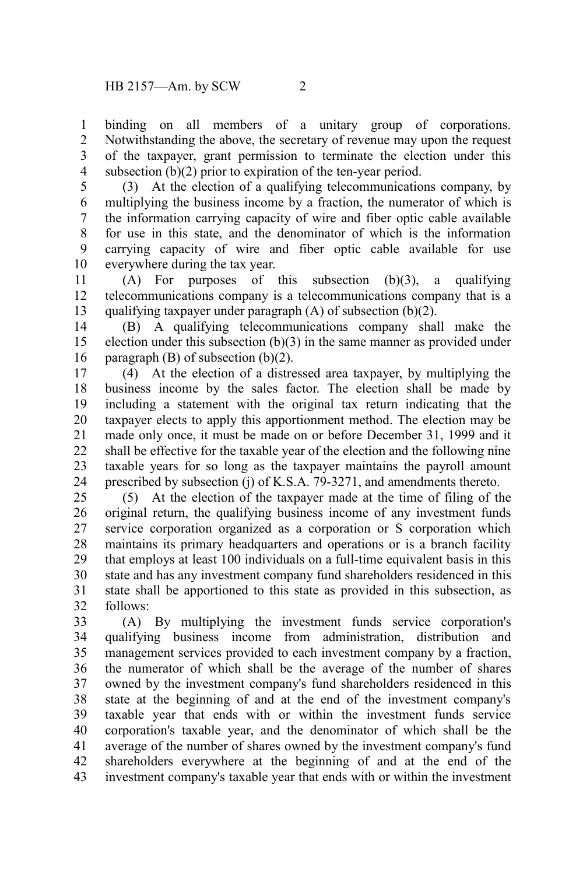binding on all members of a unitary group of corporations. Notwithstanding the above, the secretary of revenue may upon the request of the taxpayer, grant permission to terminate the election under this subsection (b)(2) prior to expiration of the ten-year period. 1 2 3 4

(3) At the election of a qualifying telecommunications company, by multiplying the business income by a fraction, the numerator of which is the information carrying capacity of wire and fiber optic cable available for use in this state, and the denominator of which is the information carrying capacity of wire and fiber optic cable available for use everywhere during the tax year. 5 6 7 8 9 10

(A) For purposes of this subsection (b)(3), a qualifying telecommunications company is a telecommunications company that is a qualifying taxpayer under paragraph (A) of subsection (b)(2). 11 12 13

(B) A qualifying telecommunications company shall make the election under this subsection (b)(3) in the same manner as provided under paragraph (B) of subsection (b)(2). 14 15 16

(4) At the election of a distressed area taxpayer, by multiplying the business income by the sales factor. The election shall be made by including a statement with the original tax return indicating that the taxpayer elects to apply this apportionment method. The election may be made only once, it must be made on or before December 31, 1999 and it shall be effective for the taxable year of the election and the following nine taxable years for so long as the taxpayer maintains the payroll amount prescribed by subsection (j) of K.S.A. 79-3271, and amendments thereto. 17 18 19 20 21 22 23 24

(5) At the election of the taxpayer made at the time of filing of the original return, the qualifying business income of any investment funds service corporation organized as a corporation or S corporation which maintains its primary headquarters and operations or is a branch facility that employs at least 100 individuals on a full-time equivalent basis in this state and has any investment company fund shareholders residenced in this state shall be apportioned to this state as provided in this subsection, as follows: 25 26 27 28 29 30 31 32

(A) By multiplying the investment funds service corporation's qualifying business income from administration, distribution and management services provided to each investment company by a fraction, the numerator of which shall be the average of the number of shares owned by the investment company's fund shareholders residenced in this state at the beginning of and at the end of the investment company's taxable year that ends with or within the investment funds service corporation's taxable year, and the denominator of which shall be the average of the number of shares owned by the investment company's fund shareholders everywhere at the beginning of and at the end of the investment company's taxable year that ends with or within the investment 33 34 35 36 37 38 39 40 41 42 43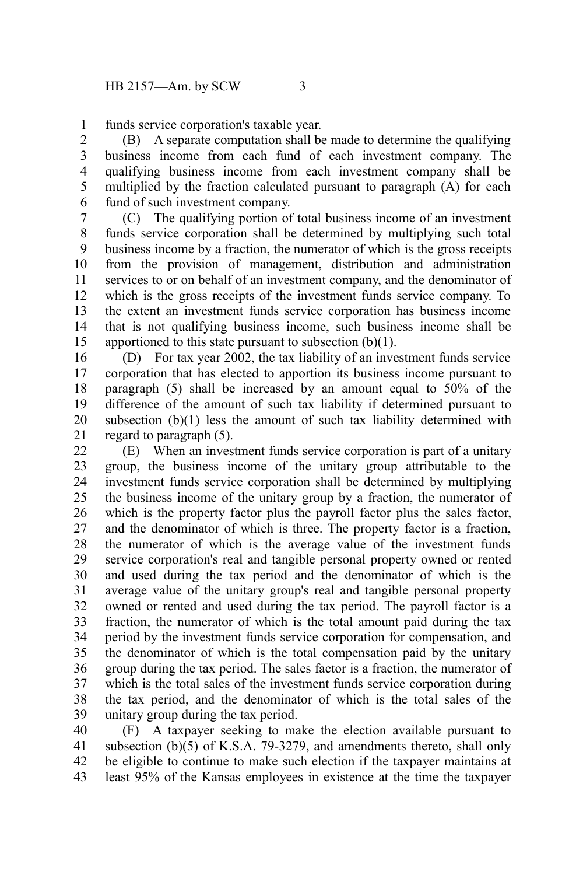funds service corporation's taxable year. 1

(B) A separate computation shall be made to determine the qualifying business income from each fund of each investment company. The qualifying business income from each investment company shall be multiplied by the fraction calculated pursuant to paragraph (A) for each fund of such investment company. 2 3 4 5 6

(C) The qualifying portion of total business income of an investment funds service corporation shall be determined by multiplying such total business income by a fraction, the numerator of which is the gross receipts from the provision of management, distribution and administration services to or on behalf of an investment company, and the denominator of which is the gross receipts of the investment funds service company. To the extent an investment funds service corporation has business income that is not qualifying business income, such business income shall be apportioned to this state pursuant to subsection  $(b)(1)$ . 7 8 9 10 11 12 13 14 15

(D) For tax year 2002, the tax liability of an investment funds service corporation that has elected to apportion its business income pursuant to paragraph (5) shall be increased by an amount equal to 50% of the difference of the amount of such tax liability if determined pursuant to subsection (b)(1) less the amount of such tax liability determined with regard to paragraph (5). 16 17 18 19 20 21

(E) When an investment funds service corporation is part of a unitary group, the business income of the unitary group attributable to the investment funds service corporation shall be determined by multiplying the business income of the unitary group by a fraction, the numerator of which is the property factor plus the payroll factor plus the sales factor. and the denominator of which is three. The property factor is a fraction, the numerator of which is the average value of the investment funds service corporation's real and tangible personal property owned or rented and used during the tax period and the denominator of which is the average value of the unitary group's real and tangible personal property owned or rented and used during the tax period. The payroll factor is a fraction, the numerator of which is the total amount paid during the tax period by the investment funds service corporation for compensation, and the denominator of which is the total compensation paid by the unitary group during the tax period. The sales factor is a fraction, the numerator of which is the total sales of the investment funds service corporation during the tax period, and the denominator of which is the total sales of the unitary group during the tax period. 22 23 24 25 26 27 28 29 30 31 32 33 34 35 36 37 38 39

(F) A taxpayer seeking to make the election available pursuant to subsection (b)(5) of K.S.A. 79-3279, and amendments thereto, shall only be eligible to continue to make such election if the taxpayer maintains at least 95% of the Kansas employees in existence at the time the taxpayer 40 41 42 43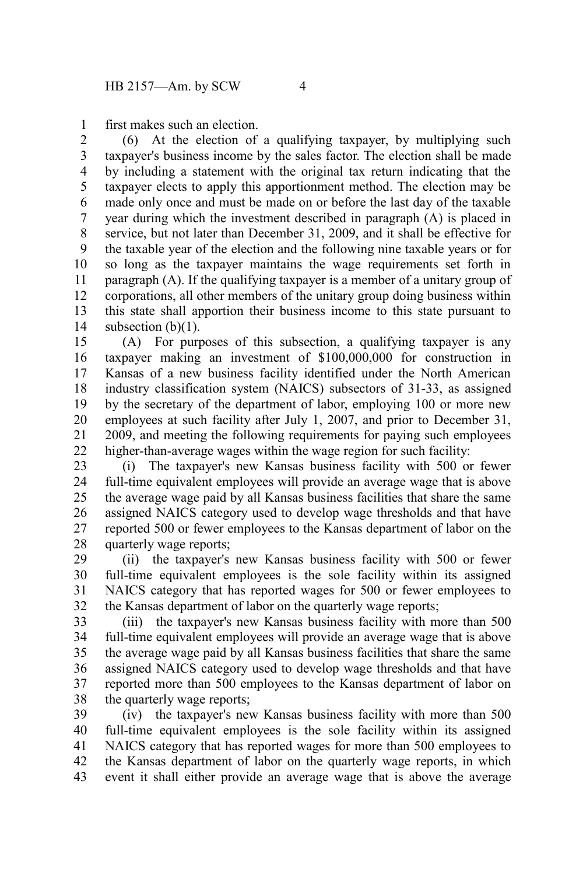first makes such an election. 1

(6) At the election of a qualifying taxpayer, by multiplying such taxpayer's business income by the sales factor. The election shall be made by including a statement with the original tax return indicating that the taxpayer elects to apply this apportionment method. The election may be made only once and must be made on or before the last day of the taxable year during which the investment described in paragraph (A) is placed in service, but not later than December 31, 2009, and it shall be effective for the taxable year of the election and the following nine taxable years or for so long as the taxpayer maintains the wage requirements set forth in paragraph (A). If the qualifying taxpayer is a member of a unitary group of corporations, all other members of the unitary group doing business within this state shall apportion their business income to this state pursuant to subsection  $(b)(1)$ . 2 3 4 5 6 7 8 9 10 11 12 13 14

(A) For purposes of this subsection, a qualifying taxpayer is any taxpayer making an investment of \$100,000,000 for construction in Kansas of a new business facility identified under the North American industry classification system (NAICS) subsectors of 31-33, as assigned by the secretary of the department of labor, employing 100 or more new employees at such facility after July 1, 2007, and prior to December 31, 2009, and meeting the following requirements for paying such employees higher-than-average wages within the wage region for such facility: 15 16 17 18 19 20 21 22

(i) The taxpayer's new Kansas business facility with 500 or fewer full-time equivalent employees will provide an average wage that is above the average wage paid by all Kansas business facilities that share the same assigned NAICS category used to develop wage thresholds and that have reported 500 or fewer employees to the Kansas department of labor on the quarterly wage reports; 23 24 25 26 27 28

(ii) the taxpayer's new Kansas business facility with 500 or fewer full-time equivalent employees is the sole facility within its assigned NAICS category that has reported wages for 500 or fewer employees to the Kansas department of labor on the quarterly wage reports; 29 30 31 32

(iii) the taxpayer's new Kansas business facility with more than 500 full-time equivalent employees will provide an average wage that is above the average wage paid by all Kansas business facilities that share the same assigned NAICS category used to develop wage thresholds and that have reported more than 500 employees to the Kansas department of labor on the quarterly wage reports; 33 34 35 36 37 38

(iv) the taxpayer's new Kansas business facility with more than 500 full-time equivalent employees is the sole facility within its assigned NAICS category that has reported wages for more than 500 employees to the Kansas department of labor on the quarterly wage reports, in which event it shall either provide an average wage that is above the average 39 40 41 42 43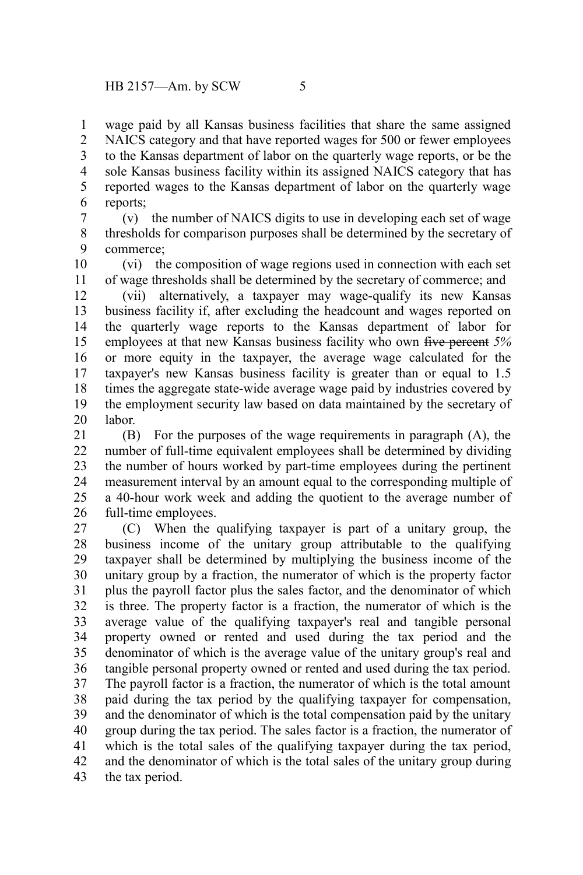wage paid by all Kansas business facilities that share the same assigned NAICS category and that have reported wages for 500 or fewer employees to the Kansas department of labor on the quarterly wage reports, or be the sole Kansas business facility within its assigned NAICS category that has reported wages to the Kansas department of labor on the quarterly wage reports; 1 2 3 4 5 6

(v) the number of NAICS digits to use in developing each set of wage thresholds for comparison purposes shall be determined by the secretary of commerce; 7 8 9

(vi) the composition of wage regions used in connection with each set of wage thresholds shall be determined by the secretary of commerce; and 10 11

(vii) alternatively, a taxpayer may wage-qualify its new Kansas business facility if, after excluding the headcount and wages reported on the quarterly wage reports to the Kansas department of labor for employees at that new Kansas business facility who own five percent *5%* or more equity in the taxpayer, the average wage calculated for the taxpayer's new Kansas business facility is greater than or equal to 1.5 times the aggregate state-wide average wage paid by industries covered by the employment security law based on data maintained by the secretary of labor. 12 13 14 15 16 17 18 19 20

(B) For the purposes of the wage requirements in paragraph (A), the number of full-time equivalent employees shall be determined by dividing the number of hours worked by part-time employees during the pertinent measurement interval by an amount equal to the corresponding multiple of a 40-hour work week and adding the quotient to the average number of full-time employees. 21 22 23 24 25 26

(C) When the qualifying taxpayer is part of a unitary group, the business income of the unitary group attributable to the qualifying taxpayer shall be determined by multiplying the business income of the unitary group by a fraction, the numerator of which is the property factor plus the payroll factor plus the sales factor, and the denominator of which is three. The property factor is a fraction, the numerator of which is the average value of the qualifying taxpayer's real and tangible personal property owned or rented and used during the tax period and the denominator of which is the average value of the unitary group's real and tangible personal property owned or rented and used during the tax period. The payroll factor is a fraction, the numerator of which is the total amount paid during the tax period by the qualifying taxpayer for compensation, and the denominator of which is the total compensation paid by the unitary group during the tax period. The sales factor is a fraction, the numerator of which is the total sales of the qualifying taxpayer during the tax period, and the denominator of which is the total sales of the unitary group during the tax period. 27 28 29 30 31 32 33 34 35 36 37 38 39 40 41 42 43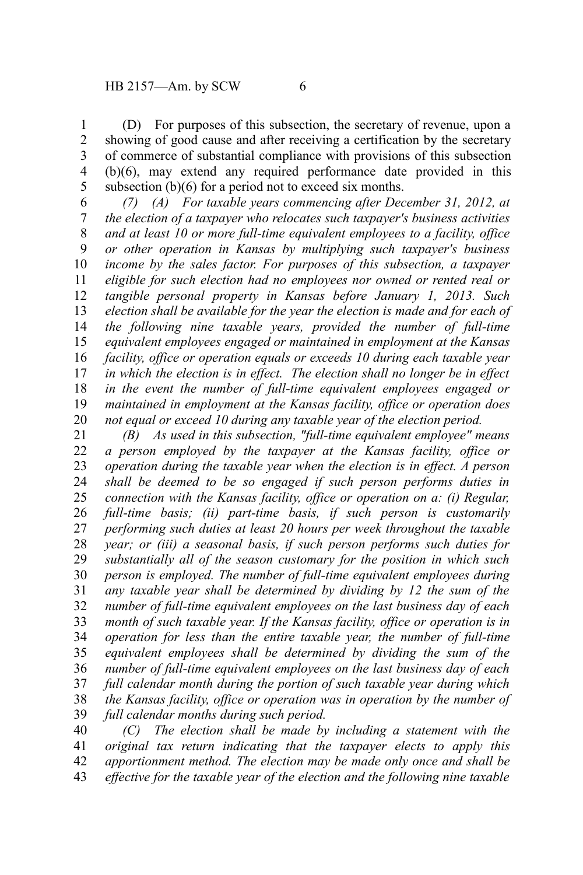(D) For purposes of this subsection, the secretary of revenue, upon a showing of good cause and after receiving a certification by the secretary of commerce of substantial compliance with provisions of this subsection (b)(6), may extend any required performance date provided in this subsection (b)(6) for a period not to exceed six months. 1 2 3 4 5

*(7) (A) For taxable years commencing after December 31, 2012, at the election of a taxpayer who relocates such taxpayer's business activities and at least 10 or more full-time equivalent employees to a facility, office or other operation in Kansas by multiplying such taxpayer's business income by the sales factor. For purposes of this subsection, a taxpayer eligible for such election had no employees nor owned or rented real or tangible personal property in Kansas before January 1, 2013. Such election shall be available for the year the election is made and for each of the following nine taxable years, provided the number of full-time equivalent employees engaged or maintained in employment at the Kansas facility, office or operation equals or exceeds 10 during each taxable year in which the election is in effect. The election shall no longer be in effect in the event the number of full-time equivalent employees engaged or maintained in employment at the Kansas facility, office or operation does not equal or exceed 10 during any taxable year of the election period.* 6 7 8 9 10 11 12 13 14 15 16 17 18 19 20

*(B) As used in this subsection, "full-time equivalent employee" means a person employed by the taxpayer at the Kansas facility, office or operation during the taxable year when the election is in effect. A person shall be deemed to be so engaged if such person performs duties in connection with the Kansas facility, office or operation on a: (i) Regular, full-time basis; (ii) part-time basis, if such person is customarily performing such duties at least 20 hours per week throughout the taxable year; or (iii) a seasonal basis, if such person performs such duties for substantially all of the season customary for the position in which such person is employed. The number of full-time equivalent employees during any taxable year shall be determined by dividing by 12 the sum of the number of full-time equivalent employees on the last business day of each month of such taxable year. If the Kansas facility, office or operation is in operation for less than the entire taxable year, the number of full-time equivalent employees shall be determined by dividing the sum of the number of full-time equivalent employees on the last business day of each full calendar month during the portion of such taxable year during which the Kansas facility, office or operation was in operation by the number of full calendar months during such period.*  21 22 23 24 25 26 27 28 29 30 31 32 33 34 35 36 37 38 39

*(C) The election shall be made by including a statement with the original tax return indicating that the taxpayer elects to apply this apportionment method. The election may be made only once and shall be effective for the taxable year of the election and the following nine taxable* 40 41 42 43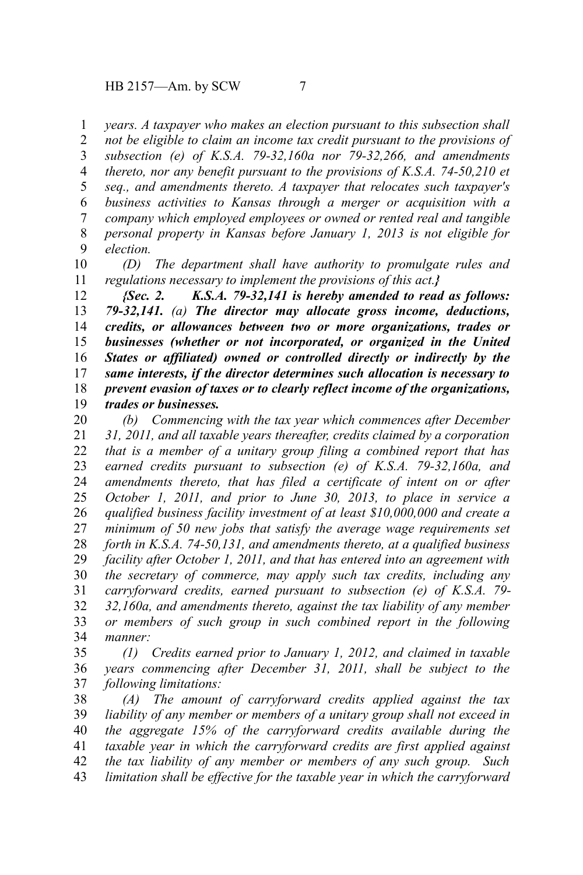*years. A taxpayer who makes an election pursuant to this subsection shall* 1

*not be eligible to claim an income tax credit pursuant to the provisions of subsection (e) of K.S.A. 79-32,160a nor 79-32,266, and amendments thereto, nor any benefit pursuant to the provisions of K.S.A. 74-50,210 et seq., and amendments thereto. A taxpayer that relocates such taxpayer's business activities to Kansas through a merger or acquisition with a company which employed employees or owned or rented real and tangible personal property in Kansas before January 1, 2013 is not eligible for election.* 2 3 4 5 6 7 8 9

*(D) The department shall have authority to promulgate rules and regulations necessary to implement the provisions of this act.}* 10 11

*{Sec. 2. K.S.A. 79-32,141 is hereby amended to read as follows: 79-32,141. (a) The director may allocate gross income, deductions, credits, or allowances between two or more organizations, trades or businesses (whether or not incorporated, or organized in the United States or affiliated) owned or controlled directly or indirectly by the same interests, if the director determines such allocation is necessary to prevent evasion of taxes or to clearly reflect income of the organizations, trades or businesses.* 12 13 14 15 16 17 18 19

*(b) Commencing with the tax year which commences after December 31, 2011, and all taxable years thereafter, credits claimed by a corporation that is a member of a unitary group filing a combined report that has earned credits pursuant to subsection (e) of K.S.A. 79-32,160a, and amendments thereto, that has filed a certificate of intent on or after October 1, 2011, and prior to June 30, 2013, to place in service a qualified business facility investment of at least \$10,000,000 and create a minimum of 50 new jobs that satisfy the average wage requirements set forth in K.S.A. 74-50,131, and amendments thereto, at a qualified business facility after October 1, 2011, and that has entered into an agreement with the secretary of commerce, may apply such tax credits, including any carryforward credits, earned pursuant to subsection (e) of K.S.A. 79- 32,160a, and amendments thereto, against the tax liability of any member or members of such group in such combined report in the following manner:* 20 21 22 23 24 25 26 27 28 29 30 31 32 33 34

*(1) Credits earned prior to January 1, 2012, and claimed in taxable years commencing after December 31, 2011, shall be subject to the following limitations:* 35 36 37

*(A) The amount of carryforward credits applied against the tax liability of any member or members of a unitary group shall not exceed in the aggregate 15% of the carryforward credits available during the taxable year in which the carryforward credits are first applied against the tax liability of any member or members of any such group. Such limitation shall be effective for the taxable year in which the carryforward* 38 39 40 41 42 43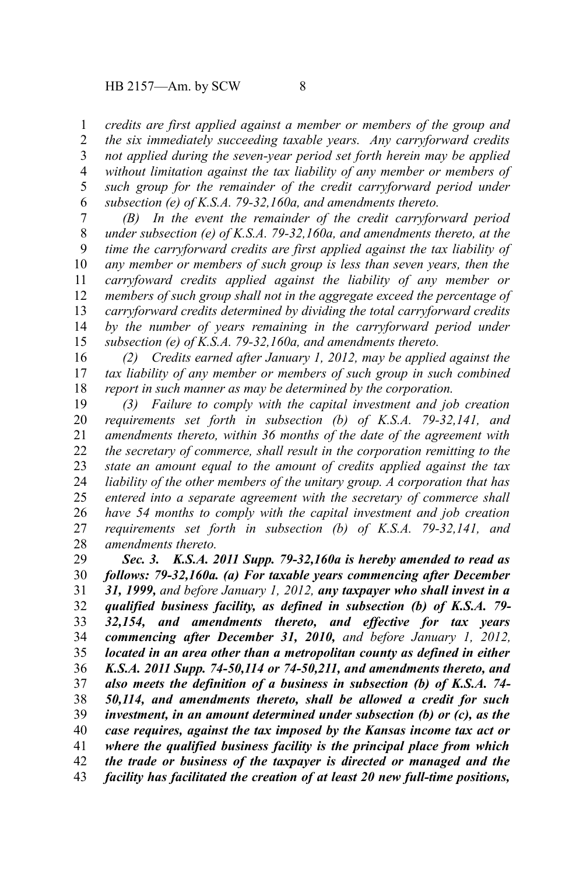*credits are first applied against a member or members of the group and the six immediately succeeding taxable years. Any carryforward credits not applied during the seven-year period set forth herein may be applied without limitation against the tax liability of any member or members of such group for the remainder of the credit carryforward period under subsection (e) of K.S.A. 79-32,160a, and amendments thereto.* 1 2 3 4 5 6

*(B) In the event the remainder of the credit carryforward period under subsection (e) of K.S.A. 79-32,160a, and amendments thereto, at the time the carryforward credits are first applied against the tax liability of any member or members of such group is less than seven years, then the carryfoward credits applied against the liability of any member or members of such group shall not in the aggregate exceed the percentage of carryforward credits determined by dividing the total carryforward credits by the number of years remaining in the carryforward period under subsection (e) of K.S.A. 79-32,160a, and amendments thereto.* 7 8 9 10 11 12 13 14 15

*(2) Credits earned after January 1, 2012, may be applied against the tax liability of any member or members of such group in such combined report in such manner as may be determined by the corporation.* 16 17 18

*(3) Failure to comply with the capital investment and job creation requirements set forth in subsection (b) of K.S.A. 79-32,141, and amendments thereto, within 36 months of the date of the agreement with the secretary of commerce, shall result in the corporation remitting to the state an amount equal to the amount of credits applied against the tax liability of the other members of the unitary group. A corporation that has entered into a separate agreement with the secretary of commerce shall have 54 months to comply with the capital investment and job creation requirements set forth in subsection (b) of K.S.A. 79-32,141, and amendments thereto.* 19 20 21 22 23 24 25 26 27 28

*Sec. 3. K.S.A. 2011 Supp. 79-32,160a is hereby amended to read as follows: 79-32,160a. (a) For taxable years commencing after December 31, 1999, and before January 1, 2012, any taxpayer who shall invest in a qualified business facility, as defined in subsection (b) of K.S.A. 79- 32,154, and amendments thereto, and effective for tax years commencing after December 31, 2010, and before January 1, 2012, located in an area other than a metropolitan county as defined in either K.S.A. 2011 Supp. 74-50,114 or 74-50,211, and amendments thereto, and also meets the definition of a business in subsection (b) of K.S.A. 74- 50,114, and amendments thereto, shall be allowed a credit for such investment, in an amount determined under subsection (b) or (c), as the case requires, against the tax imposed by the Kansas income tax act or where the qualified business facility is the principal place from which the trade or business of the taxpayer is directed or managed and the facility has facilitated the creation of at least 20 new full-time positions,* 29 30 31 32 33 34 35 36 37 38 39 40 41 42 43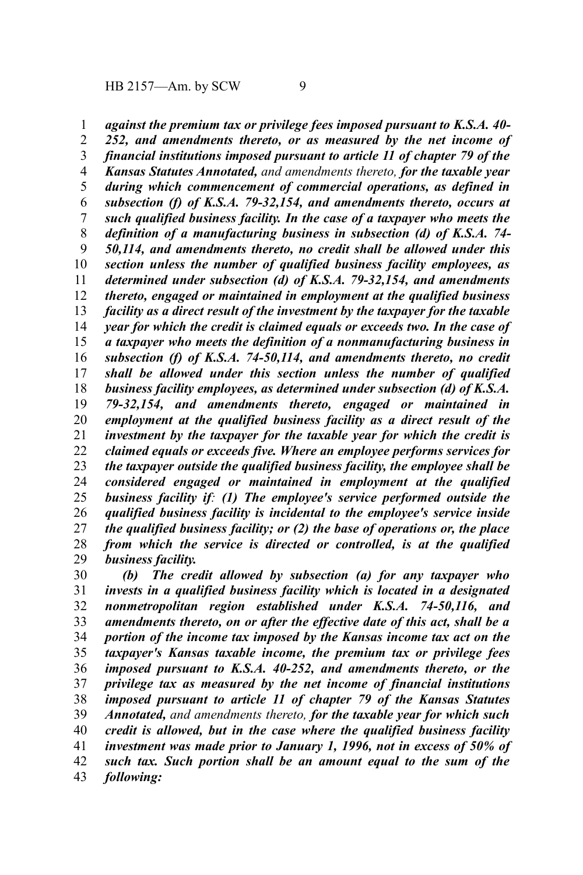*against the premium tax or privilege fees imposed pursuant to K.S.A. 40-* 1

*252, and amendments thereto, or as measured by the net income of financial institutions imposed pursuant to article 11 of chapter 79 of the Kansas Statutes Annotated, and amendments thereto, for the taxable year during which commencement of commercial operations, as defined in subsection (f) of K.S.A. 79-32,154, and amendments thereto, occurs at such qualified business facility. In the case of a taxpayer who meets the definition of a manufacturing business in subsection (d) of K.S.A. 74- 50,114, and amendments thereto, no credit shall be allowed under this section unless the number of qualified business facility employees, as determined under subsection (d) of K.S.A. 79-32,154, and amendments thereto, engaged or maintained in employment at the qualified business facility as a direct result of the investment by the taxpayer for the taxable year for which the credit is claimed equals or exceeds two. In the case of a taxpayer who meets the definition of a nonmanufacturing business in subsection (f) of K.S.A. 74-50,114, and amendments thereto, no credit shall be allowed under this section unless the number of qualified business facility employees, as determined under subsection (d) of K.S.A. 79-32,154, and amendments thereto, engaged or maintained in employment at the qualified business facility as a direct result of the investment by the taxpayer for the taxable year for which the credit is claimed equals or exceeds five. Where an employee performs services for the taxpayer outside the qualified business facility, the employee shall be considered engaged or maintained in employment at the qualified business facility if: (1) The employee's service performed outside the qualified business facility is incidental to the employee's service inside the qualified business facility; or (2) the base of operations or, the place from which the service is directed or controlled, is at the qualified business facility.* 2 3 4 5 6 7 8 9 10 11 12 13 14 15 16 17 18 19 20 21 22 23 24 25 26 27 28 29

*(b) The credit allowed by subsection (a) for any taxpayer who invests in a qualified business facility which is located in a designated nonmetropolitan region established under K.S.A. 74-50,116, and amendments thereto, on or after the effective date of this act, shall be a portion of the income tax imposed by the Kansas income tax act on the taxpayer's Kansas taxable income, the premium tax or privilege fees imposed pursuant to K.S.A. 40-252, and amendments thereto, or the privilege tax as measured by the net income of financial institutions imposed pursuant to article 11 of chapter 79 of the Kansas Statutes Annotated, and amendments thereto, for the taxable year for which such credit is allowed, but in the case where the qualified business facility investment was made prior to January 1, 1996, not in excess of 50% of such tax. Such portion shall be an amount equal to the sum of the following:* 30 31 32 33 34 35 36 37 38 39 40 41 42 43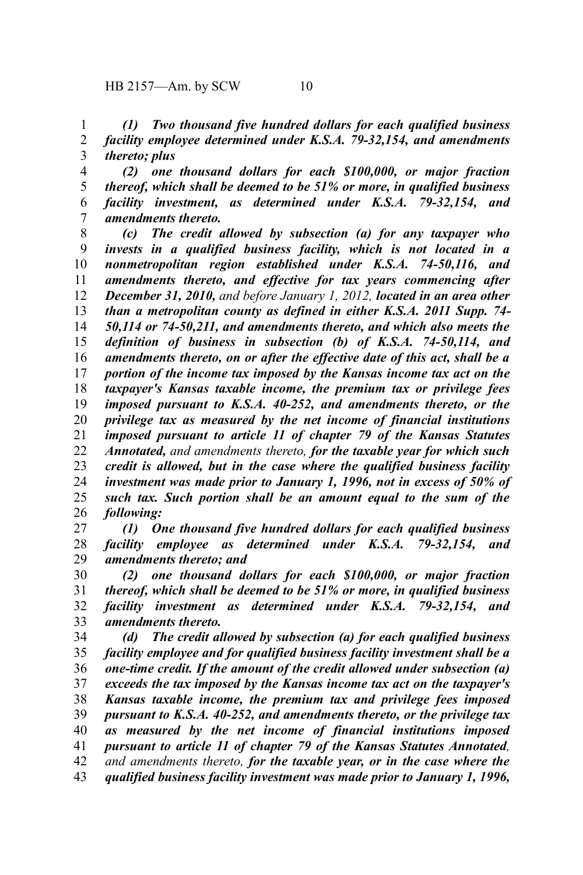*(1) Two thousand five hundred dollars for each qualified business facility employee determined under K.S.A. 79-32,154, and amendments thereto; plus* 1 2 3

*(2) one thousand dollars for each \$100,000, or major fraction thereof, which shall be deemed to be 51% or more, in qualified business facility investment, as determined under K.S.A. 79-32,154, and amendments thereto.* 4 5 6 7

*(c) The credit allowed by subsection (a) for any taxpayer who invests in a qualified business facility, which is not located in a nonmetropolitan region established under K.S.A. 74-50,116, and amendments thereto, and effective for tax years commencing after December 31, 2010, and before January 1, 2012, located in an area other than a metropolitan county as defined in either K.S.A. 2011 Supp. 74- 50,114 or 74-50,211, and amendments thereto, and which also meets the definition of business in subsection (b) of K.S.A. 74-50,114, and amendments thereto, on or after the effective date of this act, shall be a portion of the income tax imposed by the Kansas income tax act on the taxpayer's Kansas taxable income, the premium tax or privilege fees imposed pursuant to K.S.A. 40-252, and amendments thereto, or the privilege tax as measured by the net income of financial institutions imposed pursuant to article 11 of chapter 79 of the Kansas Statutes Annotated, and amendments thereto, for the taxable year for which such credit is allowed, but in the case where the qualified business facility investment was made prior to January 1, 1996, not in excess of 50% of such tax. Such portion shall be an amount equal to the sum of the following:* 8 9 10 11 12 13 14 15 16 17 18 19 20 21 22 23 24 25 26

*(1) One thousand five hundred dollars for each qualified business facility employee as determined under K.S.A. 79-32,154, and amendments thereto; and* 27 28 29

*(2) one thousand dollars for each \$100,000, or major fraction thereof, which shall be deemed to be 51% or more, in qualified business facility investment as determined under K.S.A. 79-32,154, and amendments thereto.* 30 31 32 33

*(d) The credit allowed by subsection (a) for each qualified business facility employee and for qualified business facility investment shall be a one-time credit. If the amount of the credit allowed under subsection (a) exceeds the tax imposed by the Kansas income tax act on the taxpayer's Kansas taxable income, the premium tax and privilege fees imposed pursuant to K.S.A. 40-252, and amendments thereto, or the privilege tax as measured by the net income of financial institutions imposed pursuant to article 11 of chapter 79 of the Kansas Statutes Annotated, and amendments thereto, for the taxable year, or in the case where the qualified business facility investment was made prior to January 1, 1996,* 34 35 36 37 38 39 40 41 42 43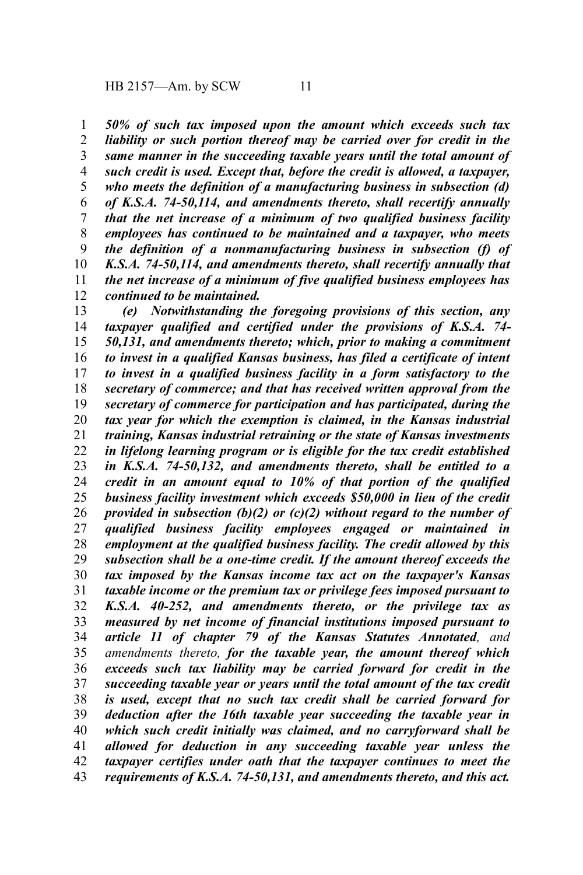*50% of such tax imposed upon the amount which exceeds such tax liability or such portion thereof may be carried over for credit in the same manner in the succeeding taxable years until the total amount of such credit is used. Except that, before the credit is allowed, a taxpayer, who meets the definition of a manufacturing business in subsection (d) of K.S.A. 74-50,114, and amendments thereto, shall recertify annually that the net increase of a minimum of two qualified business facility employees has continued to be maintained and a taxpayer, who meets the definition of a nonmanufacturing business in subsection (f) of K.S.A. 74-50,114, and amendments thereto, shall recertify annually that the net increase of a minimum of five qualified business employees has continued to be maintained.* 1 2 3 4 5 6 7 8 9 10 11 12

*(e) Notwithstanding the foregoing provisions of this section, any taxpayer qualified and certified under the provisions of K.S.A. 74- 50,131, and amendments thereto; which, prior to making a commitment to invest in a qualified Kansas business, has filed a certificate of intent to invest in a qualified business facility in a form satisfactory to the secretary of commerce; and that has received written approval from the secretary of commerce for participation and has participated, during the tax year for which the exemption is claimed, in the Kansas industrial training, Kansas industrial retraining or the state of Kansas investments in lifelong learning program or is eligible for the tax credit established in K.S.A. 74-50,132, and amendments thereto, shall be entitled to a credit in an amount equal to 10% of that portion of the qualified business facility investment which exceeds \$50,000 in lieu of the credit provided in subsection (b)(2) or (c)(2) without regard to the number of qualified business facility employees engaged or maintained in employment at the qualified business facility. The credit allowed by this subsection shall be a one-time credit. If the amount thereof exceeds the tax imposed by the Kansas income tax act on the taxpayer's Kansas taxable income or the premium tax or privilege fees imposed pursuant to K.S.A. 40-252, and amendments thereto, or the privilege tax as measured by net income of financial institutions imposed pursuant to article 11 of chapter 79 of the Kansas Statutes Annotated, and amendments thereto, for the taxable year, the amount thereof which exceeds such tax liability may be carried forward for credit in the succeeding taxable year or years until the total amount of the tax credit is used, except that no such tax credit shall be carried forward for deduction after the 16th taxable year succeeding the taxable year in which such credit initially was claimed, and no carryforward shall be allowed for deduction in any succeeding taxable year unless the taxpayer certifies under oath that the taxpayer continues to meet the requirements of K.S.A. 74-50,131, and amendments thereto, and this act.* 13 14 15 16 17 18 19 20 21 22 23 24 25 26 27 28 29 30 31 32 33 34 35 36 37 38 39 40 41 42 43